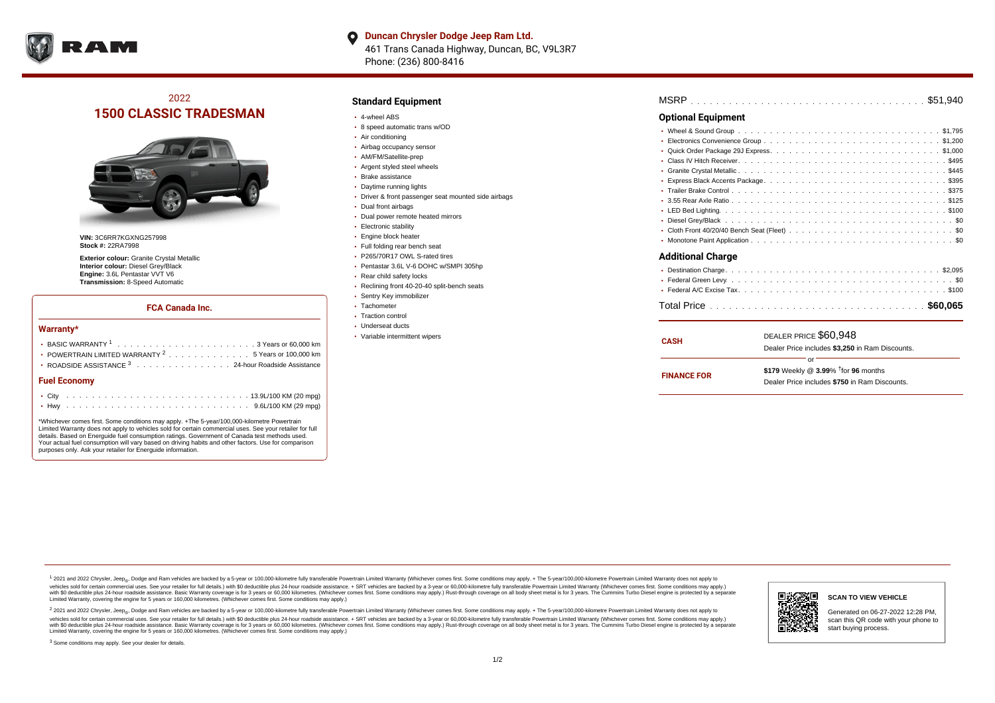

**Duncan Chrysler Dodge Jeep Ram Ltd.**  $\bullet$ 461 Trans Canada Highway, Duncan, BC, V9L3R7 Phone: (236) 800-8416

# 2022 **1500 CLASSIC TRADESMAN**



**VIN:** 3C6RR7KGXNG257998 **Stock #:** 22RA7998

**Exterior colour:** Granite Crystal Metallic **Interior colour:** Diesel Grey/Black **Engine:** 3.6L Pentastar VVT V6 **Transmission:** 8-Speed Automatic

#### **FCA Canada Inc.**

#### **Warranty\***

|                     | POWERTRAIN LIMITED WARRANTY $2, \ldots, \ldots, \ldots, \ldots, 5$ Years or 100,000 km<br>• ROADSIDE ASSISTANCE 3 24-hour Roadside Assistance |  |  |  |  |  |  |  |  |  |  |  |  |  |  |  |  |  |  |  |  |
|---------------------|-----------------------------------------------------------------------------------------------------------------------------------------------|--|--|--|--|--|--|--|--|--|--|--|--|--|--|--|--|--|--|--|--|
| <b>Fuel Economy</b> |                                                                                                                                               |  |  |  |  |  |  |  |  |  |  |  |  |  |  |  |  |  |  |  |  |
|                     |                                                                                                                                               |  |  |  |  |  |  |  |  |  |  |  |  |  |  |  |  |  |  |  |  |
|                     |                                                                                                                                               |  |  |  |  |  |  |  |  |  |  |  |  |  |  |  |  |  |  |  |  |

\*Whichever comes first. Some conditions may apply. +The 5-year/100,000-kilometre Powertrain Limited Warranty does not apply to vehicles sold for certain commercial uses. See your retailer for full details. Based on Energuide fuel consumption ratings. Government of Canada test methods used. Your actual fuel consumption will vary based on driving habits and other factors. Use for comparison purposes only. Ask your retailer for Energuide information.

### **Standard Equipment**

- 4-wheel ABS
- 8 speed automatic trans w/OD
- Air conditioning
- Airbag occupancy sensor
- AM/FM/Satellite-prep
- Argent styled steel wheels
- Brake assistance
- Daytime running lights
- Driver & front passenger seat mounted side airbags
- Dual front airbags
- Dual power remote heated mirrors
- Electronic stability
- Engine block heater
- Full folding rear bench seat
- P265/70R17 OWL S-rated tires
- Pentastar 3.6L V-6 DOHC w/SMPI 305hp
- Rear child safety locks
- Reclining front 40-20-40 split-bench seats
- Sentry Key immobilizer
- Tachometer
- Traction control
- Underseat ducts
- Variable intermittent wipers

| MSRP |  |  |  |  |  |  |  |  |  |  |  |  |  |  |  |  |  |  |  |  |  |  |  |  |  |  |  |  |  |  |  |  |  |  |  |  |  |  |
|------|--|--|--|--|--|--|--|--|--|--|--|--|--|--|--|--|--|--|--|--|--|--|--|--|--|--|--|--|--|--|--|--|--|--|--|--|--|--|
|------|--|--|--|--|--|--|--|--|--|--|--|--|--|--|--|--|--|--|--|--|--|--|--|--|--|--|--|--|--|--|--|--|--|--|--|--|--|--|

### **Optional Equipment**

| <b>Additional Charge</b> |
|--------------------------|
|                          |
|                          |
|                          |
|                          |

| <b>CASH</b>        | DEALER PRICE \$60,948                              |  |
|--------------------|----------------------------------------------------|--|
|                    | Dealer Price includes \$3,250 in Ram Discounts.    |  |
|                    | Ωr                                                 |  |
| <b>FINANCE FOR</b> | \$179 Weekly @ $3.99\%$ <sup>†</sup> for 96 months |  |
|                    | Dealer Price includes \$750 in Ram Discounts.      |  |
|                    |                                                    |  |

<sup>1</sup> 2021 and 2022 Chrysler, Jeep<sub>®</sub>, Dodge and Ram vehicles are backed by a 5-year or 100,000-kilometre fully transferable Powertrain Limited Warranty (Whichever comes first. Some conditions may apply. + The 5-year/100,000 vehicles sold for certain commercial uses. See your retailer for full details.) with \$0 deductible plus 24 hour roadside assistance. + SRT vehicles are backed by a 3-year or 60,000-kilometre fully transferable Powertrain L versus and contract the mean of the contract of the contract with a contract with a contract the contract of the contract of the contract the contract of the contract of the contract of the contract of the contract of the Limited Warranty, covering the engine for 5 years or 160,000 kilometres. (Whichever comes first. Some conditions may apply.)

2 2021 and 2022 Chrysler, Jeep<sub>®</sub>, Dodge and Ram vehicles are backed by a 5-year or 100,000-kilometre fully transferable Powertrain Limited Warranty (Whichever comes first. Some conditions may apply. + The 5-year/100,000-k vehicles sold for certain commercial uses. See your retailer for full details.) with SO deductible plus 24-hour roadside assistance. + SRT vehicles are backed by a 3-year or 60.000-kilometre fully transferable Powertrain L with S0 deductible plus 24-hour roadside assistance. Basic Warranty coverage is for 3 years or 60,000 kilometres. (Whichever comes first. Some conditions may apply.) Rust-through coverage on all body sheet metal is for 3 y



#### **SCAN TO VIEW VEHICLE**

Generated on 06-27-2022 12:28 PM, scan this QR code with your phone to start buying process.

<sup>3</sup> Some conditions may apply. See your dealer for details.